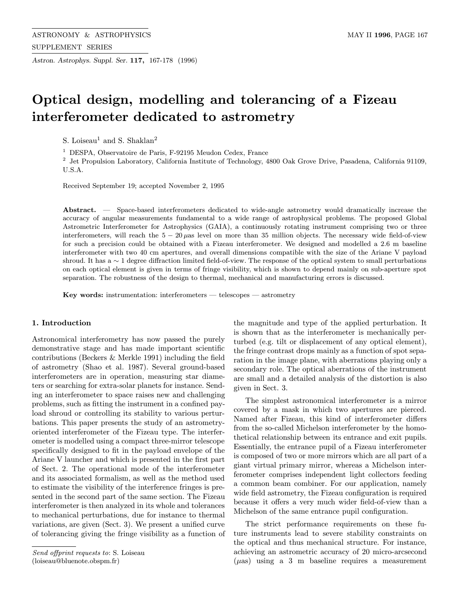Astron. Astrophys. Suppl. Ser. 117, 167-178 (1996)

# Optical design, modelling and tolerancing of a Fizeau interferometer dedicated to astrometry

S. Loiseau<sup>1</sup> and S. Shaklan<sup>2</sup>

<sup>1</sup> DESPA, Observatoire de Paris, F-92195 Meudon Cedex, France

<sup>2</sup> Jet Propulsion Laboratory, California Institute of Technology, 4800 Oak Grove Drive, Pasadena, California 91109, U.S.A.

Received September 19; accepted November 2, 1995

Abstract. — Space-based interferometers dedicated to wide-angle astrometry would dramatically increase the accuracy of angular measurements fundamental to a wide range of astrophysical problems. The proposed Global Astrometric Interferometer for Astrophysics (GAIA), a continuously rotating instrument comprising two or three interferometers, will reach the  $5 - 20 \mu$ as level on more than 35 million objects. The necessary wide field-of-view for such a precision could be obtained with a Fizeau interferometer. We designed and modelled a 2.6 m baseline interferometer with two 40 cm apertures, and overall dimensions compatible with the size of the Ariane V payload shroud. It has a ∼ 1 degree diffraction limited field-of-view. The response of the optical system to small perturbations on each optical element is given in terms of fringe visibility, which is shown to depend mainly on sub-aperture spot separation. The robustness of the design to thermal, mechanical and manufacturing errors is discussed.

Key words: instrumentation: interferometers — telescopes — astrometry

## 1. Introduction

Astronomical interferometry has now passed the purely demonstrative stage and has made important scientific contributions (Beckers & Merkle 1991) including the field of astrometry (Shao et al. 1987). Several ground-based interferometers are in operation, measuring star diameters or searching for extra-solar planets for instance. Sending an interferometer to space raises new and challenging problems, such as fitting the instrument in a confined payload shroud or controlling its stability to various perturbations. This paper presents the study of an astrometryoriented interferometer of the Fizeau type. The interferometer is modelled using a compact three-mirror telescope specifically designed to fit in the payload envelope of the Ariane V launcher and which is presented in the first part of Sect. 2. The operational mode of the interferometer and its associated formalism, as well as the method used to estimate the visibility of the interference fringes is presented in the second part of the same section. The Fizeau interferometer is then analyzed in its whole and tolerances to mechanical perturbations, due for instance to thermal variations, are given (Sect. 3). We present a unified curve of tolerancing giving the fringe visibility as a function of the magnitude and type of the applied perturbation. It is shown that as the interferometer is mechanically perturbed (e.g. tilt or displacement of any optical element), the fringe contrast drops mainly as a function of spot separation in the image plane, with aberrations playing only a secondary role. The optical aberrations of the instrument are small and a detailed analysis of the distortion is also given in Sect. 3.

The simplest astronomical interferometer is a mirror covered by a mask in which two apertures are pierced. Named after Fizeau, this kind of interferometer differs from the so-called Michelson interferometer by the homothetical relationship between its entrance and exit pupils. Essentially, the entrance pupil of a Fizeau interferometer is composed of two or more mirrors which are all part of a giant virtual primary mirror, whereas a Michelson interferometer comprises independent light collectors feeding a common beam combiner. For our application, namely wide field astrometry, the Fizeau configuration is required because it offers a very much wider field-of-view than a Michelson of the same entrance pupil configuration.

The strict performance requirements on these future instruments lead to severe stability constraints on the optical and thus mechanical structure. For instance, achieving an astrometric accuracy of 20 micro-arcsecond  $(\mu as)$  using a 3 m baseline requires a measurement

Send offprint requests to: S. Loiseau (loiseau@bluenote.obspm.fr)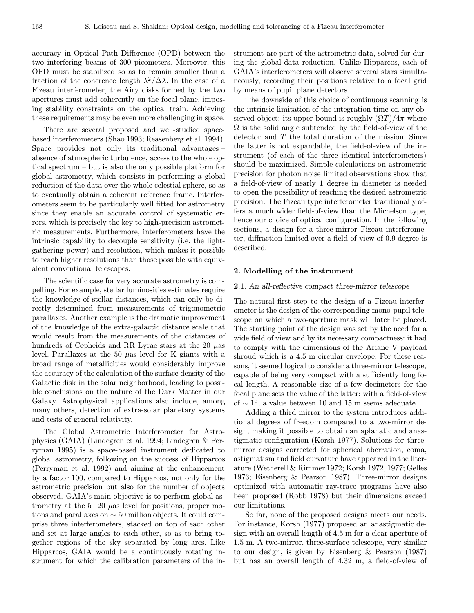accuracy in Optical Path Difference (OPD) between the two interfering beams of 300 picometers. Moreover, this OPD must be stabilized so as to remain smaller than a fraction of the coherence length  $\lambda^2/\Delta\lambda$ . In the case of a Fizeau interferometer, the Airy disks formed by the two apertures must add coherently on the focal plane, imposing stability constraints on the optical train. Achieving these requirements may be even more challenging in space.

There are several proposed and well-studied spacebased interferometers (Shao 1993; Reasenberg et al. 1994). Space provides not only its traditional advantages – absence of atmospheric turbulence, access to the whole optical spectrum – but is also the only possible platform for global astrometry, which consists in performing a global reduction of the data over the whole celestial sphere, so as to eventually obtain a coherent reference frame. Interferometers seem to be particularly well fitted for astrometry since they enable an accurate control of systematic errors, which is precisely the key to high-precision astrometric measurements. Furthermore, interferometers have the intrinsic capability to decouple sensitivity (i.e. the lightgathering power) and resolution, which makes it possible to reach higher resolutions than those possible with equivalent conventional telescopes.

The scientific case for very accurate astrometry is compelling. For example, stellar luminosities estimates require the knowledge of stellar distances, which can only be directly determined from measurements of trigonometric parallaxes. Another example is the dramatic improvement of the knowledge of the extra-galactic distance scale that would result from the measurements of the distances of hundreds of Cepheids and RR Lyrae stars at the 20  $\mu$ as level. Parallaxes at the 50  $\mu$ as level for K giants with a broad range of metallicities would considerably improve the accuracy of the calculation of the surface density of the Galactic disk in the solar neighborhood, leading to possible conclusions on the nature of the Dark Matter in our Galaxy. Astrophysical applications also include, among many others, detection of extra-solar planetary systems and tests of general relativity.

The Global Astrometric Interferometer for Astrophysics (GAIA) (Lindegren et al. 1994; Lindegren & Perryman 1995) is a space-based instrument dedicated to global astrometry, following on the success of Hipparcos (Perryman et al. 1992) and aiming at the enhancement by a factor 100, compared to Hipparcos, not only for the astrometric precision but also for the number of objects observed. GAIA's main objective is to perform global astrometry at the  $5-20 \mu$ as level for positions, proper motions and parallaxes on ∼ 50 million objects. It could comprise three interferometers, stacked on top of each other and set at large angles to each other, so as to bring together regions of the sky separated by long arcs. Like Hipparcos, GAIA would be a continuously rotating instrument for which the calibration parameters of the instrument are part of the astrometric data, solved for during the global data reduction. Unlike Hipparcos, each of GAIA's interferometers will observe several stars simultaneously, recording their positions relative to a focal grid by means of pupil plane detectors.

The downside of this choice of continuous scanning is the intrinsic limitation of the integration time on any observed object: its upper bound is roughly  $(\Omega T)/4\pi$  where  $\Omega$  is the solid angle subtended by the field-of-view of the detector and T the total duration of the mission. Since the latter is not expandable, the field-of-view of the instrument (of each of the three identical interferometers) should be maximized. Simple calculations on astrometric precision for photon noise limited observations show that a field-of-view of nearly 1 degree in diameter is needed to open the possibility of reaching the desired astrometric precision. The Fizeau type interferometer traditionally offers a much wider field-of-view than the Michelson type, hence our choice of optical configuration. In the following sections, a design for a three-mirror Fizeau interferometer, diffraction limited over a field-of-view of 0.9 degree is described.

#### 2. Modelling of the instrument

## 2.1. An all-reflective compact three-mirror telescope

The natural first step to the design of a Fizeau interferometer is the design of the corresponding mono-pupil telescope on which a two-aperture mask will later be placed. The starting point of the design was set by the need for a wide field of view and by its necessary compactness: it had to comply with the dimensions of the Ariane V payload shroud which is a 4.5 m circular envelope. For these reasons, it seemed logical to consider a three-mirror telescope, capable of being very compact with a sufficiently long focal length. A reasonable size of a few decimeters for the focal plane sets the value of the latter: with a field-of-view of  $\sim$  1°, a value between 10 and 15 m seems adequate.

Adding a third mirror to the system introduces additional degrees of freedom compared to a two-mirror design, making it possible to obtain an aplanatic and anastigmatic configuration (Korsh 1977). Solutions for threemirror designs corrected for spherical aberration, coma, astigmatism and field curvature have appeared in the literature (Wetherell & Rimmer 1972; Korsh 1972, 1977; Gelles 1973; Eisenberg & Pearson 1987). Three-mirror designs optimized with automatic ray-trace programs have also been proposed (Robb 1978) but their dimensions exceed our limitations.

So far, none of the proposed designs meets our needs. For instance, Korsh (1977) proposed an anastigmatic design with an overall length of 4.5 m for a clear aperture of 1.5 m. A two-mirror, three-surface telescope, very similar to our design, is given by Eisenberg & Pearson (1987) but has an overall length of 4.32 m, a field-of-view of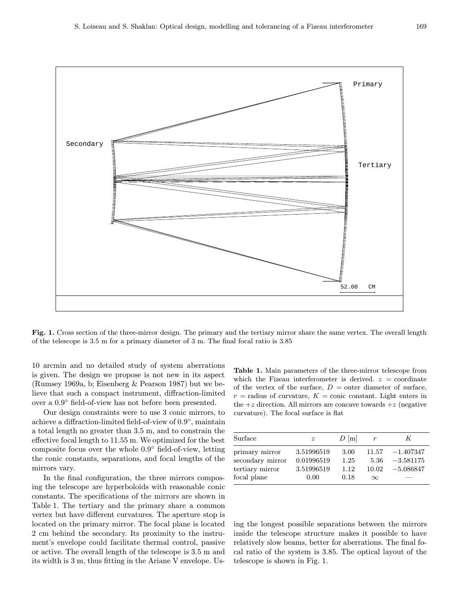

Fig. 1. Cross section of the three-mirror design. The primary and the tertiary mirror share the same vertex. The overall length of the telescope is 3.5 m for a primary diameter of 3 m. The final focal ratio is 3.85

10 arcmin and no detailed study of system aberrations is given. The design we propose is not new in its aspect (Rumsey 1969a, b; Eisenberg & Pearson 1987) but we believe that such a compact instrument, diffraction-limited over a 0.9◦ field-of-view has not before been presented.

Our design constraints were to use 3 conic mirrors, to achieve a diffraction-limited field-of-view of 0.9◦, maintain a total length no greater than 3.5 m, and to constrain the effective focal length to 11.55 m. We optimized for the best composite focus over the whole 0.9◦ field-of-view, letting the conic constants, separations, and focal lengths of the mirrors vary.

In the final configuration, the three mirrors composing the telescope are hyperboloids with reasonable conic constants. The specifications of the mirrors are shown in Table 1. The tertiary and the primary share a common vertex but have different curvatures. The aperture stop is located on the primary mirror. The focal plane is located 2 cm behind the secondary. Its proximity to the instrument's envelope could facilitate thermal control, passive or active. The overall length of the telescope is 3.5 m and its width is 3 m, thus fitting in the Ariane V envelope. Us-

Table 1. Main parameters of the three-mirror telescope from which the Fizeau interferometer is derived.  $z =$  coordinate of the vertex of the surface,  $D =$  outer diameter of surface,  $r =$  radius of curvature,  $K =$  conic constant. Light enters in the  $+z$  direction. All mirrors are concave towards  $+z$  (negative curvature). The focal surface is flat

| Surface                                                              | $\boldsymbol{z}$                               | $D \vert m \vert$            | $\boldsymbol{r}$                   | K                                         |
|----------------------------------------------------------------------|------------------------------------------------|------------------------------|------------------------------------|-------------------------------------------|
| primary mirror<br>secondary mirror<br>tertiary mirror<br>focal plane | 3.51996519<br>0.01996519<br>3.51996519<br>0.00 | 3.00<br>1.25<br>1.12<br>0.18 | 11.57<br>5.36<br>10.02<br>$\infty$ | $-1.407347$<br>$-3.581175$<br>$-5.086847$ |

ing the longest possible separations between the mirrors inside the telescope structure makes it possible to have relatively slow beams, better for aberrations. The final focal ratio of the system is 3.85. The optical layout of the telescope is shown in Fig. 1.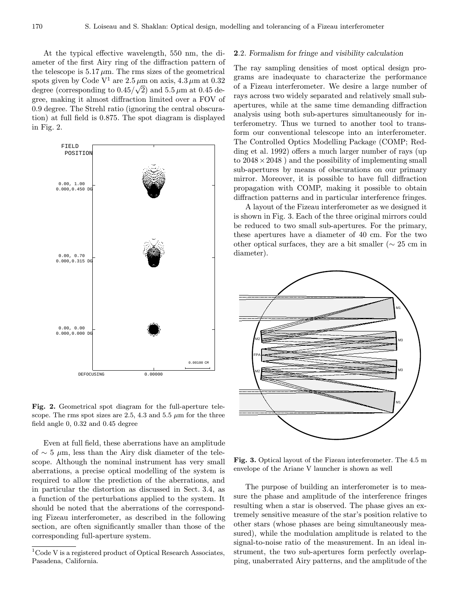At the typical effective wavelength, 550 nm, the diameter of the first Airy ring of the diffraction pattern of the telescope is  $5.17 \mu m$ . The rms sizes of the geometrical spots given by Code V<sup>1</sup> are  $2.5 \mu$ m on axis,  $4.3 \mu$ m at 0.32 degree (corresponding to  $0.45/\sqrt{2}$ ) and  $5.5 \mu$ m at 0.45 degree, making it almost diffraction limited over a FOV of 0.9 degree. The Strehl ratio (ignoring the central obscuration) at full field is 0.875. The spot diagram is displayed in Fig. 2.



Fig. 2. Geometrical spot diagram for the full-aperture telescope. The rms spot sizes are 2.5, 4.3 and 5.5  $\mu$ m for the three field angle 0, 0.32 and 0.45 degree

Even at full field, these aberrations have an amplitude of  $\sim$  5  $\mu$ m, less than the Airy disk diameter of the telescope. Although the nominal instrument has very small aberrations, a precise optical modelling of the system is required to allow the prediction of the aberrations, and in particular the distortion as discussed in Sect. 3.4, as a function of the perturbations applied to the system. It should be noted that the aberrations of the corresponding Fizeau interferometer, as described in the following section, are often significantly smaller than those of the corresponding full-aperture system.

#### 2.2. Formalism for fringe and visibility calculation

The ray sampling densities of most optical design programs are inadequate to characterize the performance of a Fizeau interferometer. We desire a large number of rays across two widely separated and relatively small subapertures, while at the same time demanding diffraction analysis using both sub-apertures simultaneously for interferometry. Thus we turned to another tool to transform our conventional telescope into an interferometer. The Controlled Optics Modelling Package (COMP; Redding et al. 1992) offers a much larger number of rays (up to  $2048 \times 2048$  ) and the possibility of implementing small sub-apertures by means of obscurations on our primary mirror. Moreover, it is possible to have full diffraction propagation with COMP, making it possible to obtain diffraction patterns and in particular interference fringes.

A layout of the Fizeau interferometer as we designed it is shown in Fig. 3. Each of the three original mirrors could be reduced to two small sub-apertures. For the primary, these apertures have a diameter of 40 cm. For the two other optical surfaces, they are a bit smaller ( $\sim 25$  cm in diameter).



Fig. 3. Optical layout of the Fizeau interferometer. The 4.5 m envelope of the Ariane V launcher is shown as well

The purpose of building an interferometer is to measure the phase and amplitude of the interference fringes resulting when a star is observed. The phase gives an extremely sensitive measure of the star's position relative to other stars (whose phases are being simultaneously measured), while the modulation amplitude is related to the signal-to-noise ratio of the measurement. In an ideal instrument, the two sub-apertures form perfectly overlapping, unaberrated Airy patterns, and the amplitude of the

<sup>1</sup>Code V is a registered product of Optical Research Associates, Pasadena, California.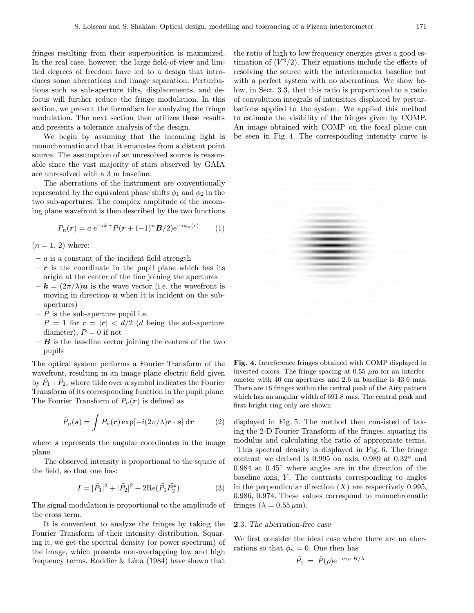fringes resulting from their superposition is maximized. In the real case, however, the large field-of-view and limited degrees of freedom have led to a design that introduces some aberrations and image separation. Perturbations such as sub-aperture tilts, displacements, and defocus will further reduce the fringe modulation. In this section, we present the formalism for analyzing the fringe modulation. The next section then utilizes these results and presents a tolerance analysis of the design.

We begin by assuming that the incoming light is monochromatic and that it emanates from a distant point source. The assumption of an unresolved source is reasonable since the vast majority of stars observed by GAIA are unresolved with a 3 m baseline.

The aberrations of the instrument are conventionally represented by the equivalent phase shifts  $\phi_1$  and  $\phi_2$  in the two sub-apertures. The complex amplitude of the incoming plane wavefront is then described by the two functions

$$
P_n(\mathbf{r}) = a e^{-ik \cdot \mathbf{r}} P(\mathbf{r} + (-1)^n \mathbf{B}/2) e^{-i \phi_n(\mathbf{r})}
$$
 (1)

 $(n = 1, 2)$  where:

- $a$  is a constant of the incident field strength
- $-r$  is the coordinate in the pupil plane which has its origin at the center of the line joining the apertures
- $-{\bf k} = (2\pi/\lambda){\bf u}$  is the wave vector (i.e. the wavefront is moving in direction  $u$  when it is incident on the subapertures)
- $-P$  is the sub-aperture pupil i.e.

 $P = 1$  for  $r = |r| < d/2$  (d being the sub-aperture diameter),  $P = 0$  if not

 $-$  **B** is the baseline vector joining the centers of the two pupils

The optical system performs a Fourier Transform of the wavefront, resulting in an image plane electric field given by  $\tilde{P}_1 + \tilde{P}_2$ , where tilde over a symbol indicates the Fourier Transform of its corresponding function in the pupil plane. The Fourier Transform of  $P_n(r)$  is defined as

$$
\tilde{P}_n(\boldsymbol{s}) = \int P_n(\boldsymbol{r}) \exp[-i(2\pi/\lambda)\boldsymbol{r} \cdot \boldsymbol{s}] d\boldsymbol{r}
$$
 (2)

where  $s$  represents the angular coordinates in the image plane.

The observed intensity is proportional to the square of the field, so that one has:

$$
I = |\tilde{P}_1|^2 + |\tilde{P}_2|^2 + 2\text{Re}(\tilde{P}_1 \tilde{P}_2^*)
$$
 (3)

The signal modulation is proportional to the amplitude of the cross term.

It is convenient to analyze the fringes by taking the Fourier Transform of their intensity distribution. Squaring it, we get the spectral density (or power spectrum) of the image, which presents non-overlapping low and high frequency terms. Roddier  $&$  Léna (1984) have shown that the ratio of high to low frequency energies gives a good estimation of  $(V^2/2)$ . Their equations include the effects of resolving the source with the interferometer baseline but with a perfect system with no aberrations. We show below, in Sect. 3.3, that this ratio is proportional to a ratio of convolution integrals of intensities displaced by perturbations applied to the system. We applied this method to estimate the visibility of the fringes given by COMP. An image obtained with COMP on the focal plane can be seen in Fig. 4. The corresponding intensity curve is



Fig. 4. Interference fringes obtained with COMP displayed in inverted colors. The fringe spacing at  $0.55 \mu m$  for an interferometer with 40 cm apertures and 2.6 m baseline is 43.6 mas. There are 16 fringes within the central peak of the Airy pattern which has an angular width of 691.8 mas. The central peak and first bright ring only are shown

displayed in Fig. 5. The method then consisted of taking the 2-D Fourier Transform of the fringes, squaring its modulus and calculating the ratio of appropriate terms. This spectral density is displayed in Fig. 6. The fringe contrast we derived is 0.995 on axis, 0.989 at 0.32◦ and 0.984 at 0.45◦ where angles are in the direction of the baseline axis,  $Y$ . The contrasts corresponding to angles in the perpendicular direction  $(X)$  are respectively 0.995, 0.986, 0.974. These values correspond to monochromatic fringes ( $\lambda = 0.55 \,\mu\text{m}$ ).

#### 2.3. The aberration-free case

We first consider the ideal case where there are no aberrations so that  $\phi_n = 0$ . One then has

$$
\tilde{P}_1 = \tilde{P}(\rho) e^{-i\pi \rho \cdot B/\lambda}
$$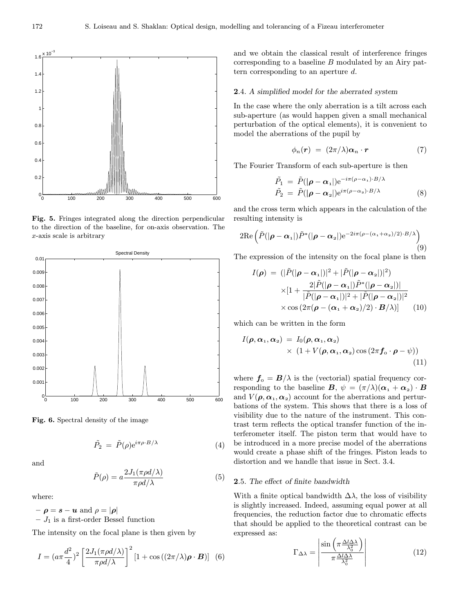

Fig. 5. Fringes integrated along the direction perpendicular to the direction of the baseline, for on-axis observation. The x-axis scale is arbitrary



Fig. 6. Spectral density of the image

$$
\tilde{P}_2 = \tilde{P}(\rho) e^{i\pi \rho \cdot B/\lambda} \tag{4}
$$

and

$$
\tilde{P}(\rho) = a \frac{2J_1(\pi \rho d/\lambda)}{\pi \rho d/\lambda} \tag{5}
$$

where:

 $-\rho = s - u$  and  $\rho = |\rho|$ 

–  $J_1$  is a first-order Bessel function

The intensity on the focal plane is then given by

$$
I = (a\pi \frac{d^2}{4})^2 \left[ \frac{2J_1(\pi \rho d/\lambda)}{\pi \rho d/\lambda} \right]^2 [1 + \cos((2\pi/\lambda)\rho \cdot \boldsymbol{B})] \quad (6)
$$

and we obtain the classical result of interference fringes corresponding to a baseline  $B$  modulated by an Airy pattern corresponding to an aperture  $d$ .

### 2.4. A simplified model for the aberrated system

In the case where the only aberration is a tilt across each sub-aperture (as would happen given a small mechanical perturbation of the optical elements), it is convenient to model the aberrations of the pupil by

$$
\phi_n(\mathbf{r}) = (2\pi/\lambda)\alpha_n \cdot \mathbf{r} \tag{7}
$$

The Fourier Transform of each sub-aperture is then

$$
\tilde{P}_1 = \tilde{P}(|\rho - \alpha_1|) e^{-i\pi(\rho - \alpha_1) \cdot B/\lambda} \n\tilde{P}_2 = \tilde{P}(|\rho - \alpha_2|) e^{i\pi(\rho - \alpha_2) \cdot B/\lambda}
$$
\n(8)

and the cross term which appears in the calculation of the resulting intensity is

$$
2\mathrm{Re}\left(\tilde{P}(|\boldsymbol{\rho}-\boldsymbol{\alpha}_1|)\tilde{P}^*(|\boldsymbol{\rho}-\boldsymbol{\alpha}_2|)\mathrm{e}^{-2i\pi(\rho-(\alpha_1+\alpha_2)/2)\cdot B/\lambda}\right)
$$
(9)

The expression of the intensity on the focal plane is then

$$
I(\rho) = (|\tilde{P}(|\rho - \alpha_1|)|^2 + |\tilde{P}(|\rho - \alpha_2|)|^2)
$$
  
 
$$
\times [1 + \frac{2|\tilde{P}(|\rho - \alpha_1|)\tilde{P}^*(|\rho - \alpha_2|)|}{|\tilde{P}(|\rho - \alpha_1|)|^2 + |\tilde{P}(|\rho - \alpha_2|)|^2}
$$
  
 
$$
\times \cos (2\pi(\rho - (\alpha_1 + \alpha_2)/2) \cdot B/\lambda)] \qquad (10)
$$

which can be written in the form

$$
I(\boldsymbol{\rho}, \boldsymbol{\alpha}_1, \boldsymbol{\alpha}_2) = I_0(\boldsymbol{\rho}, \boldsymbol{\alpha}_1, \boldsymbol{\alpha}_2) \times (1 + V(\boldsymbol{\rho}, \boldsymbol{\alpha}_1, \boldsymbol{\alpha}_2) \cos (2\pi \boldsymbol{f}_0 \cdot \boldsymbol{\rho} - \psi))
$$
\n(11)

where  $f_0 = B/\lambda$  is the (vectorial) spatial frequency corresponding to the baseline  $\mathbf{B}, \psi = (\pi/\lambda)(\alpha_1 + \alpha_2) \cdot \mathbf{B}$ and  $V(\rho, \alpha_1, \alpha_2)$  account for the aberrations and perturbations of the system. This shows that there is a loss of visibility due to the nature of the instrument. This contrast term reflects the optical transfer function of the interferometer itself. The piston term that would have to be introduced in a more precise model of the aberrations would create a phase shift of the fringes. Piston leads to distortion and we handle that issue in Sect. 3.4.

## 2.5. The effect of finite bandwidth

With a finite optical bandwidth  $\Delta\lambda$ , the loss of visibility is slightly increased. Indeed, assuming equal power at all frequencies, the reduction factor due to chromatic effects that should be applied to the theoretical contrast can be expressed as:

$$
\Gamma_{\Delta\lambda} = \left| \frac{\sin\left(\pi \frac{\Delta l \Delta \lambda}{\lambda_0^2}\right)}{\pi \frac{\Delta l \Delta \lambda}{\lambda_0^2}} \right| \tag{12}
$$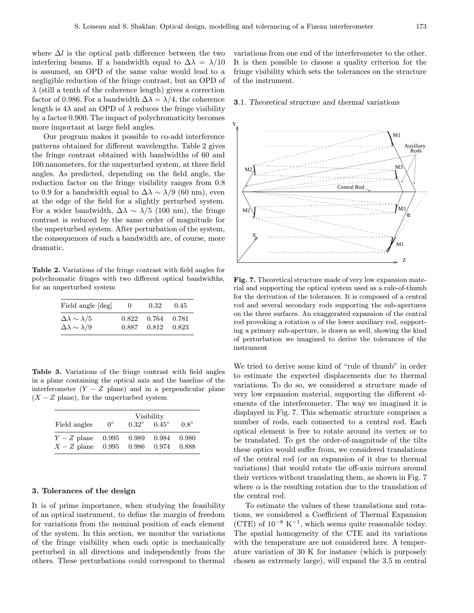where  $\Delta l$  is the optical path difference between the two interfering beams. If a bandwidth equal to  $\Delta\lambda = \lambda/10$ is assumed, an OPD of the same value would lead to a negligible reduction of the fringe contrast, but an OPD of  $\lambda$  (still a tenth of the coherence length) gives a correction factor of 0.986. For a bandwidth  $\Delta\lambda = \lambda/4$ , the coherence length is  $4\lambda$  and an OPD of  $\lambda$  reduces the fringe visibility by a factor 0.900. The impact of polychromaticity becomes more important at large field angles.

Our program makes it possible to co-add interference patterns obtained for different wavelengths. Table 2 gives the fringe contrast obtained with bandwidths of 60 and 100 nanometers, for the unperturbed system, at three field angles. As predicted, depending on the field angle, the reduction factor on the fringe visibility ranges from 0.8 to 0.9 for a bandwidth equal to  $\Delta\lambda \sim \lambda/9$  (60 nm), even at the edge of the field for a slightly perturbed system. For a wider bandwidth,  $\Delta\lambda \sim \lambda/5$  (100 nm), the fringe contrast is reduced by the same order of magnitude for the unperturbed system. After perturbation of the system, the consequences of such a bandwidth are, of course, more dramatic.

Table 2. Variations of the fringe contrast with field angles for polychromatic fringes with two different optical bandwidths, for an unperturbed system

| Field angle [deg]              | $\theta$ | 0.32        | 0.45 |
|--------------------------------|----------|-------------|------|
| $\Delta\lambda \sim \lambda/5$ | 0.822    | 0.764 0.781 |      |
| $\Delta\lambda \sim \lambda/9$ | 0.887    | 0.812 0.823 |      |

Table 3. Variations of the fringe contrast with field angles in a plane containing the optical axis and the baseline of the interferometer  $(Y - Z)$  plane) and in a perpendicular plane  $(X - Z)$  plane), for the unperturbed system

|                     | Visibility  |              |              |             |  |  |
|---------------------|-------------|--------------|--------------|-------------|--|--|
| Field angles        | $0^{\circ}$ | $0.32^\circ$ | $0.45^\circ$ | $0.8^\circ$ |  |  |
| $Y - Z$ plane 0.995 |             | 0.989        | 0.984        | 0.980       |  |  |
| $X-Z$ plane         | $\,0.995\,$ | $\,0.986\,$  | 0.974        | 0.888       |  |  |

## 3. Tolerances of the design

It is of prime importance, when studying the feasibility of an optical instrument, to define the margin of freedom for variations from the nominal position of each element of the system. In this section, we monitor the variations of the fringe visibility when each optic is mechanically perturbed in all directions and independently from the others. These perturbations could correspond to thermal

variations from one end of the interferometer to the other. It is then possible to choose a quality criterion for the fringe visibility which sets the tolerances on the structure of the instrument.

## 3.1. Theoretical structure and thermal variations



Fig. 7. Theoretical structure made of very low expansion material and supporting the optical system used as a rule-of-thumb for the derivation of the tolerances. It is composed of a central rod and several secondary rods supporting the sub-apertures on the three surfaces. An exaggerated expansion of the central rod provoking a rotation  $\alpha$  of the lower auxiliary rod, supporting a primary sub-aperture, is drawn as well, showing the kind of perturbation we imagined to derive the tolerances of the instrument

We tried to derive some kind of "rule of thumb" in order to estimate the expected displacements due to thermal variations. To do so, we considered a structure made of very low expansion material, supporting the different elements of the interferometer. The way we imagined it is displayed in Fig. 7. This schematic structure comprises a number of rods, each connected to a central rod. Each optical element is free to rotate around its vertex or to be translated. To get the order-of-magnitude of the tilts these optics would suffer from, we considered translations of the central rod (or an expansion of it due to thermal variations) that would rotate the off-axis mirrors around their vertices without translating them, as shown in Fig. 7 where  $\alpha$  is the resulting rotation due to the translation of the central rod.

To estimate the values of these translations and rotations, we considered a Coefficient of Thermal Expansion (CTE) of  $10^{-8}$  K<sup>-1</sup>, which seems quite reasonable today. The spatial homogeneity of the CTE and its variations with the temperature are not considered here. A temperature variation of 30 K for instance (which is purposely chosen as extremely large), will expand the 3.5 m central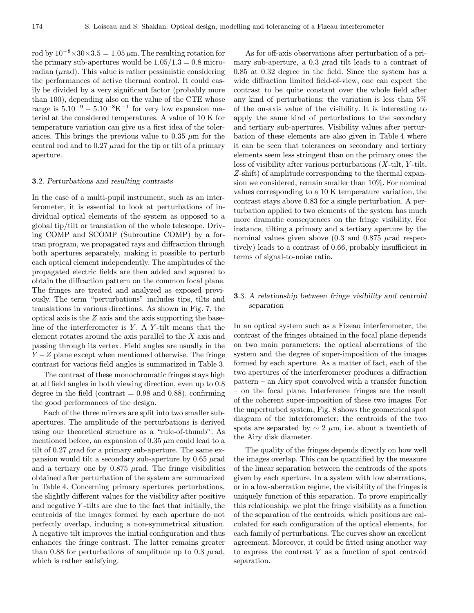rod by  $10^{-8} \times 30 \times 3.5 = 1.05 \,\mu\text{m}$ . The resulting rotation for the primary sub-apertures would be  $1.05/1.3=0.8$  microradian  $(\mu rad)$ . This value is rather pessimistic considering the performances of active thermal control. It could easily be divided by a very significant factor (probably more than 100), depending also on the value of the CTE whose range is  $5.10^{-9} - 5.10^{-8}$ K<sup>-1</sup> for very low expansion material at the considered temperatures. A value of 10 K for temperature variation can give us a first idea of the tolerances. This brings the previous value to 0.35  $\mu$ m for the central rod and to  $0.27 \mu$ rad for the tip or tilt of a primary aperture.

## 3.2. Perturbations and resulting contrasts

In the case of a multi-pupil instrument, such as an interferometer, it is essential to look at perturbations of individual optical elements of the system as opposed to a global tip/tilt or translation of the whole telescope. Driving COMP and SCOMP (Subroutine COMP) by a fortran program, we propagated rays and diffraction through both apertures separately, making it possible to perturb each optical element independently. The amplitudes of the propagated electric fields are then added and squared to obtain the diffraction pattern on the common focal plane. The fringes are treated and analyzed as exposed previously. The term "perturbations" includes tips, tilts and translations in various directions. As shown in Fig. 7, the optical axis is the Z axis and the axis supporting the baseline of the interferometer is  $Y$ . A  $Y$ -tilt means that the element rotates around the axis parallel to the X axis and passing through its vertex. Field angles are usually in the  $Y - Z$  plane except when mentioned otherwise. The fringe contrast for various field angles is summarized in Table 3.

The contrast of these monochromatic fringes stays high at all field angles in both viewing direction, even up to 0.8 degree in the field (contrast  $= 0.98$  and 0.88), confirming the good performances of the design.

Each of the three mirrors are split into two smaller subapertures. The amplitude of the perturbations is derived using our theoretical structure as a "rule-of-thumb". As mentioned before, an expansion of  $0.35 \mu$ m could lead to a tilt of  $0.27 \mu$ rad for a primary sub-aperture. The same expansion would tilt a secondary sub-aperture by  $0.65 \mu$ rad and a tertiary one by  $0.875$   $\mu$ rad. The fringe visibilities obtained after perturbation of the system are summarized in Table 4. Concerning primary apertures perturbations, the slightly different values for the visibility after positive and negative  $Y$ -tilts are due to the fact that initially, the centroids of the images formed by each aperture do not perfectly overlap, inducing a non-symmetrical situation. A negative tilt improves the initial configuration and thus enhances the fringe contrast. The latter remains greater than 0.88 for perturbations of amplitude up to 0.3  $\mu$ rad, which is rather satisfying.

As for off-axis observations after perturbation of a primary sub-aperture, a  $0.3 \mu$ rad tilt leads to a contrast of 0.85 at 0.32 degree in the field. Since the system has a wide diffraction limited field-of-view, one can expect the contrast to be quite constant over the whole field after any kind of perturbations: the variation is less than 5% of the on-axis value of the visibility. It is interesting to apply the same kind of perturbations to the secondary and tertiary sub-apertures. Visibility values after perturbation of these elements are also given in Table 4 where it can be seen that tolerances on secondary and tertiary elements seem less stringent than on the primary ones: the loss of visibility after various perturbations  $(X\text{-}tilt, Y\text{-}tilt,$ Z-shift) of amplitude corresponding to the thermal expansion we considered, remain smaller than 10%. For nominal values corresponding to a 10 K temperature variation, the contrast stays above 0.83 for a single perturbation. A perturbation applied to two elements of the system has much more dramatic consequences on the fringe visibility. For instance, tilting a primary and a tertiary aperture by the nominal values given above  $(0.3 \text{ and } 0.875 \mu \text{rad} \text{ respectively})$ tively) leads to a contrast of 0.66, probably insufficient in terms of signal-to-noise ratio.

# 3.3. A relationship between fringe visibility and centroid separation

In an optical system such as a Fizeau interferometer, the contrast of the fringes obtained in the focal plane depends on two main parameters: the optical aberrations of the system and the degree of super-imposition of the images formed by each aperture. As a matter of fact, each of the two apertures of the interferometer produces a diffraction pattern – an Airy spot convolved with a transfer function – on the focal plane. Interference fringes are the result of the coherent super-imposition of these two images. For the unperturbed system, Fig. 8 shows the geometrical spot diagram of the interferometer: the centroids of the two spots are separated by  $\sim 2 \mu m$ , i.e. about a twentieth of the Airy disk diameter.

The quality of the fringes depends directly on how well the images overlap. This can be quantified by the measure of the linear separation between the centroids of the spots given by each aperture. In a system with low aberrations, or in a low-aberration regime, the visibility of the fringes is uniquely function of this separation. To prove empirically this relationship, we plot the fringe visibility as a function of the separation of the centroids, which positions are calculated for each configuration of the optical elements, for each family of perturbations. The curves show an excellent agreement. Moreover, it could be fitted using another way to express the contrast  $V$  as a function of spot centroid separation.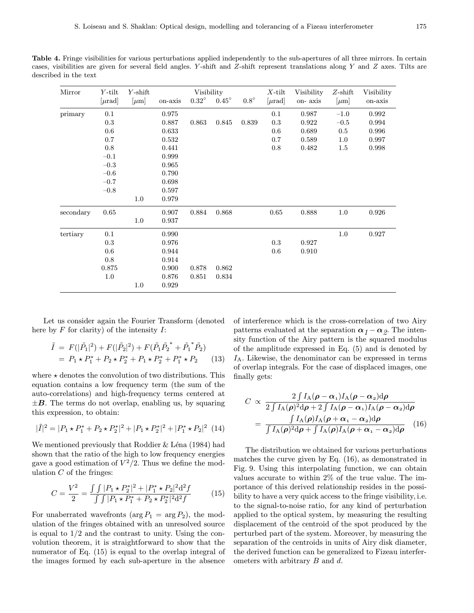Table 4. Fringe visibilities for various perturbations applied independently to the sub-apertures of all three mirrors. In certain cases, visibilities are given for several field angles. Y-shift and  $Z$ -shift represent translations along Y and  $Z$  axes. Tilts are described in the text

| Mirror    | $Y$ -tilt   | $Y$ -shift | Visibility |              |              | $X$ -tilt   | Visibility  | $Z$ -shift | Visibility |         |
|-----------|-------------|------------|------------|--------------|--------------|-------------|-------------|------------|------------|---------|
|           | $[\mu rad]$ | $[\mu m]$  | on-axis    | $0.32^\circ$ | $0.45^\circ$ | $0.8^\circ$ | $[\mu rad]$ | on-axis    | $ \mu m $  | on-axis |
| primary   | 0.1         |            | 0.975      |              |              |             | 0.1         | 0.987      | $-1.0$     | 0.992   |
|           | 0.3         |            | 0.887      | 0.863        | 0.845        | 0.839       | 0.3         | 0.922      | $-0.5$     | 0.994   |
|           | 0.6         |            | 0.633      |              |              |             | 0.6         | 0.689      | 0.5        | 0.996   |
|           | 0.7         |            | 0.532      |              |              |             | 0.7         | 0.589      | 1.0        | 0.997   |
|           | 0.8         |            | 0.441      |              |              |             | 0.8         | 0.482      | 1.5        | 0.998   |
|           | $-0.1$      |            | 0.999      |              |              |             |             |            |            |         |
|           | $-0.3$      |            | 0.965      |              |              |             |             |            |            |         |
|           | $-0.6$      |            | 0.790      |              |              |             |             |            |            |         |
|           | $-0.7$      |            | 0.698      |              |              |             |             |            |            |         |
|           | $-0.8$      |            | 0.597      |              |              |             |             |            |            |         |
|           |             | $1.0\,$    | 0.979      |              |              |             |             |            |            |         |
| secondary | 0.65        |            | 0.907      | 0.884        | 0.868        |             | 0.65        | 0.888      | 1.0        | 0.926   |
|           |             | 1.0        | 0.937      |              |              |             |             |            |            |         |
| tertiary  | 0.1         |            | 0.990      |              |              |             |             |            | 1.0        | 0.927   |
|           | 0.3         |            | 0.976      |              |              |             | 0.3         | 0.927      |            |         |
|           | 0.6         |            | 0.944      |              |              |             | 0.6         | 0.910      |            |         |
|           | 0.8         |            | 0.914      |              |              |             |             |            |            |         |
|           | 0.875       |            | 0.900      | 0.878        | 0.862        |             |             |            |            |         |
|           | 1.0         |            | 0.876      | 0.851        | 0.834        |             |             |            |            |         |
|           |             | $1.0\,$    | 0.929      |              |              |             |             |            |            |         |

Let us consider again the Fourier Transform (denoted here by  $F$  for clarity) of the intensity  $I$ :

$$
\tilde{I} = F(|\tilde{P}_1|^2) + F(|\tilde{P}_2|^2) + F(\tilde{P}_1 \tilde{P}_2^* + \tilde{P}_1^* \tilde{P}_2)
$$
  
=  $P_1 \star P_1^* + P_2 \star P_2^* + P_1 \star P_2^* + P_1^* \star P_2$  (13)

where  $\star$  denotes the convolution of two distributions. This equation contains a low frequency term (the sum of the auto-correlations) and high-frequency terms centered at  $\pm B$ . The terms do not overlap, enabling us, by squaring this expression, to obtain:

$$
|\tilde{I}|^2 = |P_1 \star P_1^* + P_2 \star P_2^*|^2 + |P_1 \star P_2^*|^2 + |P_1^* \star P_2|^2
$$
 (14)

We mentioned previously that Roddier & Léna (1984) had shown that the ratio of the high to low frequency energies gave a good estimation of  $V^2/2$ . Thus we define the modulation  $C$  of the fringes:

$$
C = \frac{V^2}{2} = \frac{\int \int |P_1 \star P_2^*|^2 + |P_1^* \star P_2|^2 d^2 f}{\int \int |P_1 \star P_1^* + P_2 \star P_2^*|^2 d^2 f} \tag{15}
$$

For unaberrated wavefronts ( $\arg P_1 = \arg P_2$ ), the modulation of the fringes obtained with an unresolved source is equal to  $1/2$  and the contrast to unity. Using the convolution theorem, it is straightforward to show that the numerator of Eq. (15) is equal to the overlap integral of the images formed by each sub-aperture in the absence

of interference which is the cross-correlation of two Airy patterns evaluated at the separation  $\alpha_1 - \alpha_2$ . The intensity function of the Airy pattern is the squared modulus of the amplitude expressed in Eq. (5) and is denoted by  $I_A$ . Likewise, the denominator can be expressed in terms of overlap integrals. For the case of displaced images, one finally gets:

$$
C \propto \frac{2 \int I_{\rm A}(\rho - \alpha_{1}) I_{\rm A}(\rho - \alpha_{2}) d\rho}{2 \int I_{\rm A}(\rho)^{2} d\rho + 2 \int I_{\rm A}(\rho - \alpha_{1}) I_{\rm A}(\rho - \alpha_{2}) d\rho}
$$

$$
= \frac{\int I_{\rm A}(\rho) I_{\rm A}(\rho + \alpha_{1} - \alpha_{2}) d\rho}{\int I_{\rm A}(\rho)^{2} d\rho + \int I_{\rm A}(\rho) I_{\rm A}(\rho + \alpha_{1} - \alpha_{2}) d\rho} \qquad (16)
$$

The distribution we obtained for various perturbations matches the curve given by Eq. (16), as demonstrated in Fig. 9. Using this interpolating function, we can obtain values accurate to within 2% of the true value. The importance of this derived relationship resides in the possibility to have a very quick access to the fringe visibility, i.e. to the signal-to-noise ratio, for any kind of perturbation applied to the optical system, by measuring the resulting displacement of the centroid of the spot produced by the perturbed part of the system. Moreover, by measuring the separation of the centroids in units of Airy disk diameter, the derived function can be generalized to Fizeau interferometers with arbitrary  $B$  and  $d$ .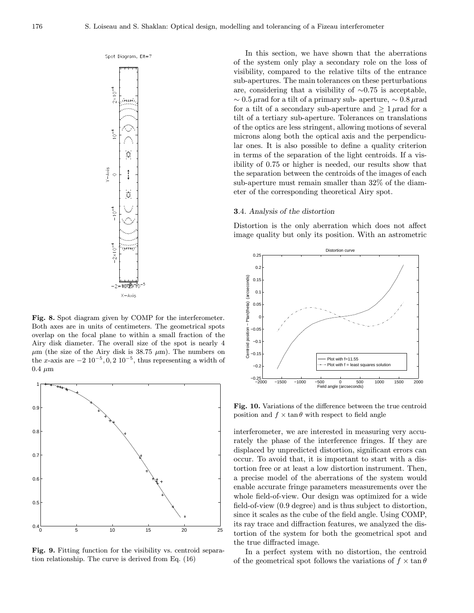Spot Diagram, Elt=7



Fig. 8. Spot diagram given by COMP for the interferometer. Both axes are in units of centimeters. The geometrical spots overlap on the focal plane to within a small fraction of the Airy disk diameter. The overall size of the spot is nearly 4  $\mu$ m (the size of the Airy disk is 38.75  $\mu$ m). The numbers on the x-axis are  $-2 10^{-5}$ , 0, 2  $10^{-5}$ , thus representing a width of  $0.4 \mu m$ 



Fig. 9. Fitting function for the visibility vs. centroid separation relationship. The curve is derived from Eq. (16)

In this section, we have shown that the aberrations of the system only play a secondary role on the loss of visibility, compared to the relative tilts of the entrance sub-apertures. The main tolerances on these perturbations are, considering that a visibility of ∼0.75 is acceptable,  $\sim 0.5 \mu$ rad for a tilt of a primary sub- aperture,  $\sim 0.8 \mu$ rad for a tilt of a secondary sub-aperture and  $\geq 1 \mu$ rad for a tilt of a tertiary sub-aperture. Tolerances on translations of the optics are less stringent, allowing motions of several microns along both the optical axis and the perpendicular ones. It is also possible to define a quality criterion in terms of the separation of the light centroids. If a visibility of 0.75 or higher is needed, our results show that the separation between the centroids of the images of each sub-aperture must remain smaller than 32% of the diameter of the corresponding theoretical Airy spot.

### 3.4. Analysis of the distortion

Distortion is the only aberration which does not affect image quality but only its position. With an astrometric



Fig. 10. Variations of the difference between the true centroid position and  $f \times \tan \theta$  with respect to field angle

interferometer, we are interested in measuring very accurately the phase of the interference fringes. If they are displaced by unpredicted distortion, significant errors can occur. To avoid that, it is important to start with a distortion free or at least a low distortion instrument. Then, a precise model of the aberrations of the system would enable accurate fringe parameters measurements over the whole field-of-view. Our design was optimized for a wide field-of-view (0.9 degree) and is thus subject to distortion, since it scales as the cube of the field angle. Using COMP, its ray trace and diffraction features, we analyzed the distortion of the system for both the geometrical spot and the true diffracted image.

In a perfect system with no distortion, the centroid of the geometrical spot follows the variations of  $f \times \tan \theta$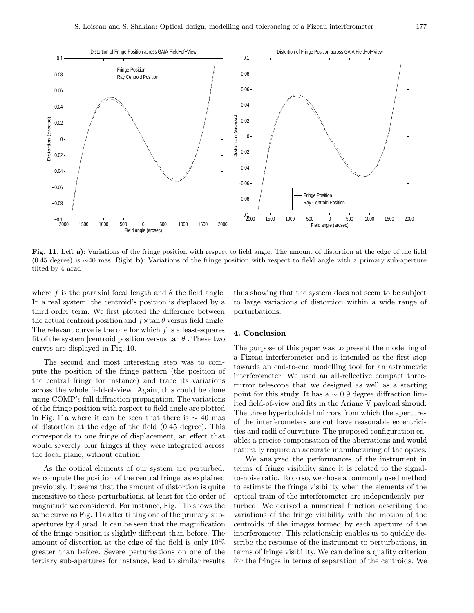

Fig. 11. Left a): Variations of the fringe position with respect to field angle. The amount of distortion at the edge of the field (0.45 degree) is ∼40 mas. Right b): Variations of the fringe position with respect to field angle with a primary sub-aperture tilted by  $4 \mu$ rad

where f is the paraxial focal length and  $\theta$  the field angle. In a real system, the centroid's position is displaced by a third order term. We first plotted the difference between the actual centroid position and  $f \times \tan \theta$  versus field angle. The relevant curve is the one for which  $f$  is a least-squares fit of the system [centroid position versus  $\tan \theta$ ]. These two curves are displayed in Fig. 10.

The second and most interesting step was to compute the position of the fringe pattern (the position of the central fringe for instance) and trace its variations across the whole field-of-view. Again, this could be done using COMP's full diffraction propagation. The variations of the fringe position with respect to field angle are plotted in Fig. 11a where it can be seen that there is  $\sim$  40 mas of distortion at the edge of the field (0.45 degree). This corresponds to one fringe of displacement, an effect that would severely blur fringes if they were integrated across the focal plane, without caution.

As the optical elements of our system are perturbed, we compute the position of the central fringe, as explained previously. It seems that the amount of distortion is quite insensitive to these perturbations, at least for the order of magnitude we considered. For instance, Fig. 11b shows the same curve as Fig. 11a after tilting one of the primary subapertures by  $4 \mu$ rad. It can be seen that the magnification of the fringe position is slightly different than before. The amount of distortion at the edge of the field is only 10% greater than before. Severe perturbations on one of the tertiary sub-apertures for instance, lead to similar results thus showing that the system does not seem to be subject to large variations of distortion within a wide range of perturbations.

## 4. Conclusion

The purpose of this paper was to present the modelling of a Fizeau interferometer and is intended as the first step towards an end-to-end modelling tool for an astrometric interferometer. We used an all-reflective compact threemirror telescope that we designed as well as a starting point for this study. It has a  $\sim 0.9$  degree diffraction limited field-of-view and fits in the Ariane V payload shroud. The three hyperboloidal mirrors from which the apertures of the interferometers are cut have reasonable eccentricities and radii of curvature. The proposed configuration enables a precise compensation of the aberrations and would naturally require an accurate manufacturing of the optics.

We analyzed the performances of the instrument in terms of fringe visibility since it is related to the signalto-noise ratio. To do so, we chose a commonly used method to estimate the fringe visibility when the elements of the optical train of the interferometer are independently perturbed. We derived a numerical function describing the variations of the fringe visibility with the motion of the centroids of the images formed by each aperture of the interferometer. This relationship enables us to quickly describe the response of the instrument to perturbations, in terms of fringe visibility. We can define a quality criterion for the fringes in terms of separation of the centroids. We